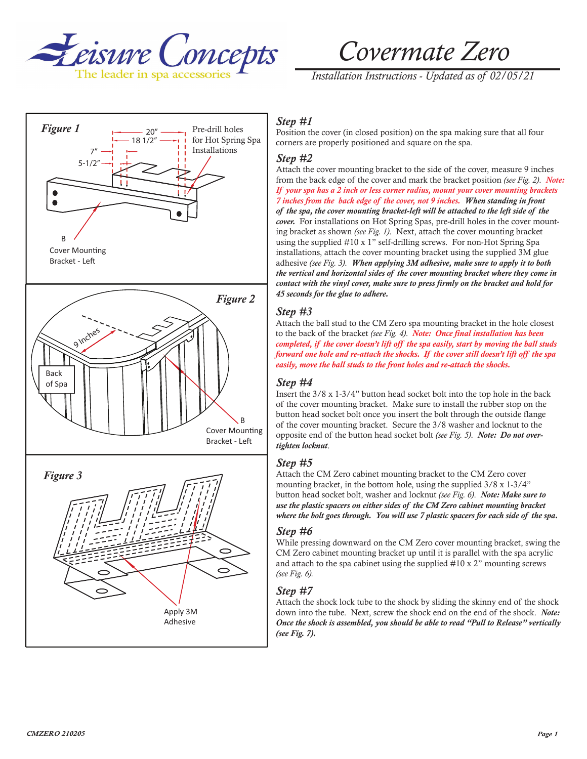

# *Covermate Zero*

*Installation Instructions - Updated as of 02/05/21*



# *Step #1*

Position the cover (in closed position) on the spa making sure that all four corners are properly positioned and square on the spa.

#### *Step #2*

Attach the cover mounting bracket to the side of the cover, measure 9 inches from the back edge of the cover and mark the bracket position *(see Fig. 2)*. *Note: If your spa has a 2 inch or less corner radius, mount your cover mounting brackets 7 inches from the back edge of the cover, not 9 inches. When standing in front of the spa, the cover mounting bracket-left will be attached to the left side of the cover.* For installations on Hot Spring Spas, pre-drill holes in the cover mounting bracket as shown *(see Fig. 1)*. Next, attach the cover mounting bracket using the supplied #10 x 1" self-drilling screws. For non-Hot Spring Spa installations, attach the cover mounting bracket using the supplied 3M glue adhesive *(see Fig. 3)*. *When applying 3M adhesive, make sure to apply it to both the vertical and horizontal sides of the cover mounting bracket where they come in contact with the vinyl cover, make sure to press firmly on the bracket and hold for 45 seconds for the glue to adhere.*

## *Step #3*

Attach the ball stud to the CM Zero spa mounting bracket in the hole closest to the back of the bracket *(see Fig. 4)*. *Note: Once final installation has been completed, if the cover doesn't lift off the spa easily, start by moving the ball studs forward one hole and re-attach the shocks. If the cover still doesn't lift off the spa easily, move the ball studs to the front holes and re-attach the shocks.*

#### *Step #4*

Insert the 3/8 x 1-3/4" button head socket bolt into the top hole in the back of the cover mounting bracket. Make sure to install the rubber stop on the button head socket bolt once you insert the bolt through the outside flange of the cover mounting bracket. Secure the 3/8 washer and locknut to the opposite end of the button head socket bolt *(see Fig. 5)*. *Note: Do not overtighten locknut*.

#### *Step #5*

Attach the CM Zero cabinet mounting bracket to the CM Zero cover mounting bracket, in the bottom hole, using the supplied 3/8 x 1-3/4" button head socket bolt, washer and locknut *(see Fig. 6)*. *Note: Make sure to use the plastic spacers on either sides of the CM Zero cabinet mounting bracket where the bolt goes through. You will use 7 plastic spacers for each side of the spa.*

#### *Step #6*

While pressing downward on the CM Zero cover mounting bracket, swing the CM Zero cabinet mounting bracket up until it is parallel with the spa acrylic and attach to the spa cabinet using the supplied #10 x 2" mounting screws *(see Fig. 6).*

## *Step #7*

Attach the shock lock tube to the shock by sliding the skinny end of the shock down into the tube. Next, screw the shock end on the end of the shock. *Note: Once the shock is assembled, you should be able to read "Pull to Release" vertically (see Fig. 7).*